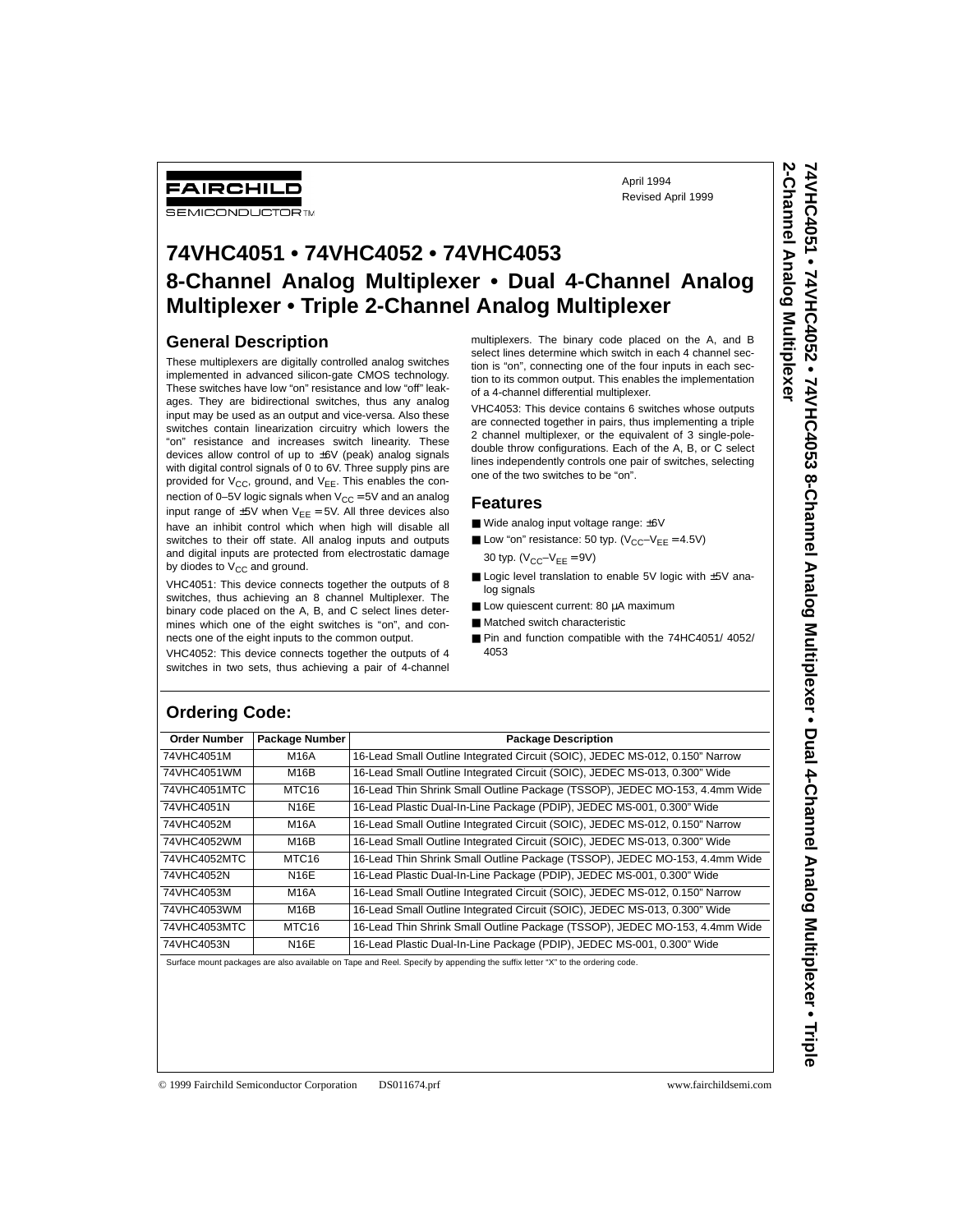# FAIRCHILD

**SEMICONDUCTOR IM** 

April 1994 Revised April 1999

# **74VHC4051 • 74VHC4052 • 74VHC4053 8-Channel Analog Multiplexer • Dual 4-Channel Analog Multiplexer • Triple 2-Channel Analog Multiplexer**

#### **General Description**

These multiplexers are digitally controlled analog switches implemented in advanced silicon-gate CMOS technology. These switches have low "on" resistance and low "off" leakages. They are bidirectional switches, thus any analog input may be used as an output and vice-versa. Also these switches contain linearization circuitry which lowers the "on" resistance and increases switch linearity. These devices allow control of up to ±6V (peak) analog signals with digital control signals of 0 to 6V. Three supply pins are provided for  $V_{CC}$ , ground, and  $V_{EE}$ . This enables the connection of 0–5V logic signals when  $V_{CC} = 5V$  and an analog input range of  $\pm 5V$  when  $V_{EE} = 5V$ . All three devices also have an inhibit control which when high will disable all switches to their off state. All analog inputs and outputs and digital inputs are protected from electrostatic damage by diodes to  $V_{CC}$  and ground.

VHC4051: This device connects together the outputs of 8 switches, thus achieving an 8 channel Multiplexer. The binary code placed on the A, B, and C select lines determines which one of the eight switches is "on", and connects one of the eight inputs to the common output.

VHC4052: This device connects together the outputs of 4 switches in two sets, thus achieving a pair of 4-channel multiplexers. The binary code placed on the A, and B select lines determine which switch in each 4 channel section is "on", connecting one of the four inputs in each section to its common output. This enables the implementation of a 4-channel differential multiplexer.

VHC4053: This device contains 6 switches whose outputs are connected together in pairs, thus implementing a triple 2 channel multiplexer, or the equivalent of 3 single-poledouble throw configurations. Each of the A, B, or C select lines independently controls one pair of switches, selecting one of the two switches to be "on".

#### **Features**

- Wide analog input voltage range: ±6V
- **Low "on" resistance: 50 typ. (** $V_{CC}-V_{EE} = 4.5V$ **)** 
	- 30 typ.  $(V_{CC}-V_{EE} = 9V)$
- Logic level translation to enable 5V logic with ±5V analog signals
- Low quiescent current: 80 µA maximum
- Matched switch characteristic
- Pin and function compatible with the 74HC4051/4052/ 4053

## **Ordering Code:**

| <b>Order Number</b> | Package Number    | <b>Package Description</b>                                                   |
|---------------------|-------------------|------------------------------------------------------------------------------|
| 74VHC4051M          | M16A              | 16-Lead Small Outline Integrated Circuit (SOIC), JEDEC MS-012, 0.150" Narrow |
| 74VHC4051WM         | M16B              | 16-Lead Small Outline Integrated Circuit (SOIC), JEDEC MS-013, 0.300" Wide   |
| 74VHC4051MTC        | MTC <sub>16</sub> | 16-Lead Thin Shrink Small Outline Package (TSSOP), JEDEC MO-153, 4.4mm Wide  |
| 74VHC4051N          | <b>N16E</b>       | 16-Lead Plastic Dual-In-Line Package (PDIP), JEDEC MS-001, 0.300" Wide       |
| 74VHC4052M          | M16A              | 16-Lead Small Outline Integrated Circuit (SOIC), JEDEC MS-012, 0.150" Narrow |
| 74VHC4052WM         | M <sub>16</sub> B | 16-Lead Small Outline Integrated Circuit (SOIC), JEDEC MS-013, 0.300" Wide   |
| 74VHC4052MTC        | MTC <sub>16</sub> | 16-Lead Thin Shrink Small Outline Package (TSSOP), JEDEC MO-153, 4.4mm Wide  |
| 74VHC4052N          | N16E              | 16-Lead Plastic Dual-In-Line Package (PDIP), JEDEC MS-001, 0.300" Wide       |
| 74VHC4053M          | M16A              | 16-Lead Small Outline Integrated Circuit (SOIC), JEDEC MS-012, 0.150" Narrow |
| 74VHC4053WM         | M <sub>16</sub> B | 16-Lead Small Outline Integrated Circuit (SOIC), JEDEC MS-013, 0.300" Wide   |
| 74VHC4053MTC        | MTC <sub>16</sub> | 16-Lead Thin Shrink Small Outline Package (TSSOP), JEDEC MO-153, 4.4mm Wide  |
| 74VHC4053N          | N16E              | 16-Lead Plastic Dual-In-Line Package (PDIP), JEDEC MS-001, 0.300" Wide       |
|                     |                   |                                                                              |

Surface mount packages are also available on Tape and Reel. Specify by appending the suffix letter "X" to the ordering code.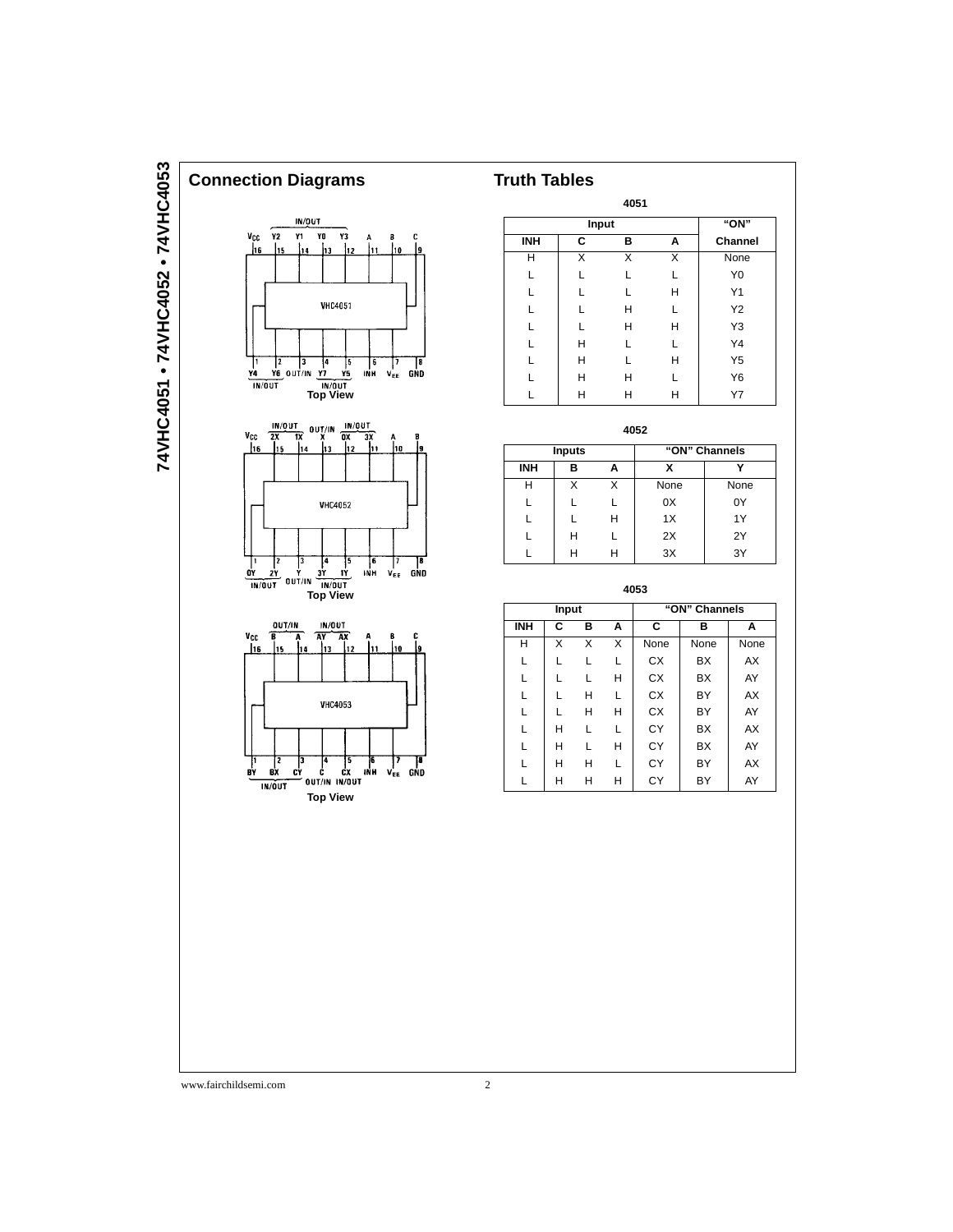

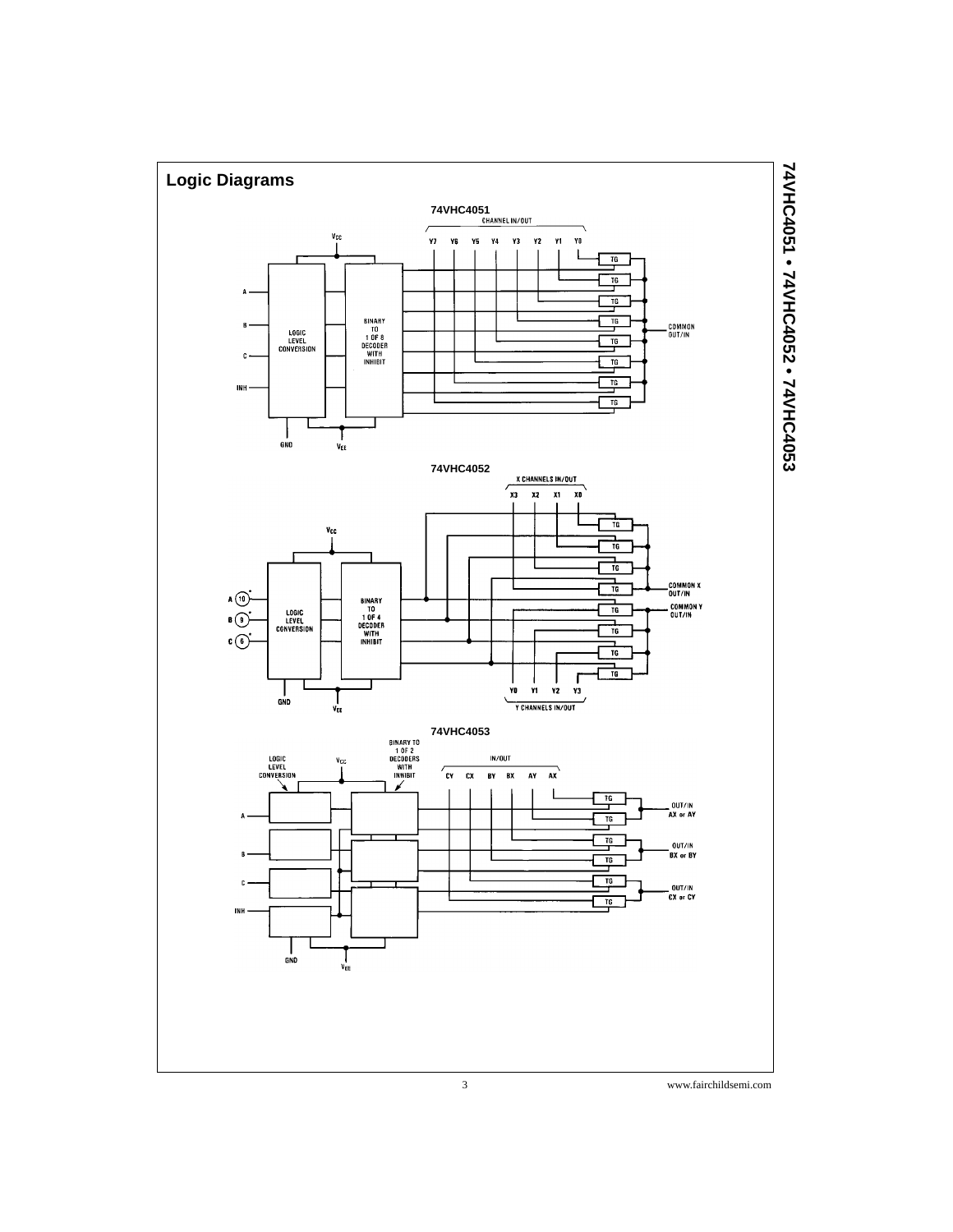

74VHC4051 • 74VHC4052 • 74VHC4053 **74VHC4051 • 74VHC4052 • 74VHC4053**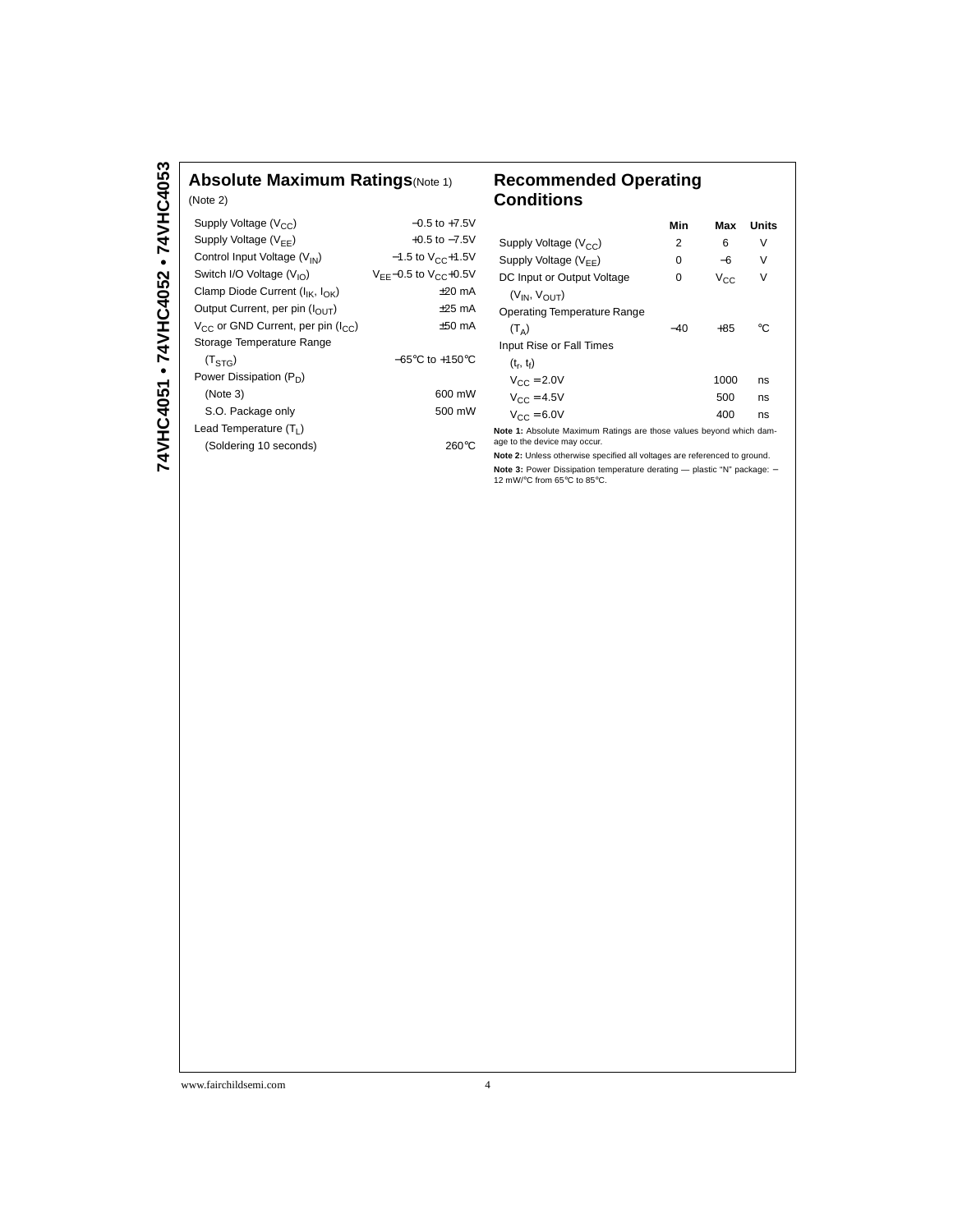## **Absolute Maximum Ratings**(Note 1)

| (Note 2)                                                   |                                     |
|------------------------------------------------------------|-------------------------------------|
| Supply Voltage $(V_{CC})$                                  | $-0.5$ to $+7.5$ V                  |
| Supply Voltage $(V_{EF})$                                  | $+0.5$ to $-7.5$ V                  |
| Control Input Voltage (V <sub>IN</sub> )                   | $-1.5$ to $V_{C}$ +1.5V             |
| Switch I/O Voltage $(V_{10})$                              | $V_{EF}$ –0.5 to $V_{CC}$ +0.5V     |
| Clamp Diode Current ( $I_{IK}$ , $I_{OK}$ )                | $+20$ mA                            |
| Output Current, per pin (I <sub>OUT</sub> )                | $+25$ mA                            |
| V <sub>CC</sub> or GND Current, per pin (I <sub>CC</sub> ) | $±50$ mA                            |
| Storage Temperature Range                                  |                                     |
| (T <sub>STG</sub> )                                        | $-65^{\circ}$ C to $+150^{\circ}$ C |
| Power Dissipation $(P_D)$                                  |                                     |
| (Note 3)                                                   | 600 mW                              |
| S.O. Package only                                          | 500 mW                              |
| Lead Temperature $(T_1)$                                   |                                     |
| (Soldering 10 seconds)                                     | 260°C                               |
|                                                            |                                     |

## **Recommended Operating Conditions**

|                                    | Min   | Max          | <b>Units</b> |
|------------------------------------|-------|--------------|--------------|
| Supply Voltage $(V_{CC})$          | 2     | 6            | V            |
| Supply Voltage $(V_{FF})$          | 0     | -6           | V            |
| DC Input or Output Voltage         | 0     | $V_{\rm CC}$ | v            |
| $(V_{IN}, V_{OIIT})$               |       |              |              |
| <b>Operating Temperature Range</b> |       |              |              |
| $(T_A)$                            | $-40$ | $+85$        | °C           |
| Input Rise or Fall Times           |       |              |              |
| $(t_{r}, t_{f})$                   |       |              |              |
| $V_{CC} = 2.0V$                    |       | 1000         | ns           |
| $V_{CC} = 4.5V$                    |       | 500          | ns           |
| $V_{CC} = 6.0V$                    |       | 400          | ns           |
|                                    |       |              |              |

**Note 1:** Absolute Maximum Ratings are those values beyond which dam-age to the device may occur.

**Note 2:** Unless otherwise specified all voltages are referenced to ground. **Note 3:** Power Dissipation temperature derating — plastic "N" package: –<br>12 mW/°C from 65°C to 85°C.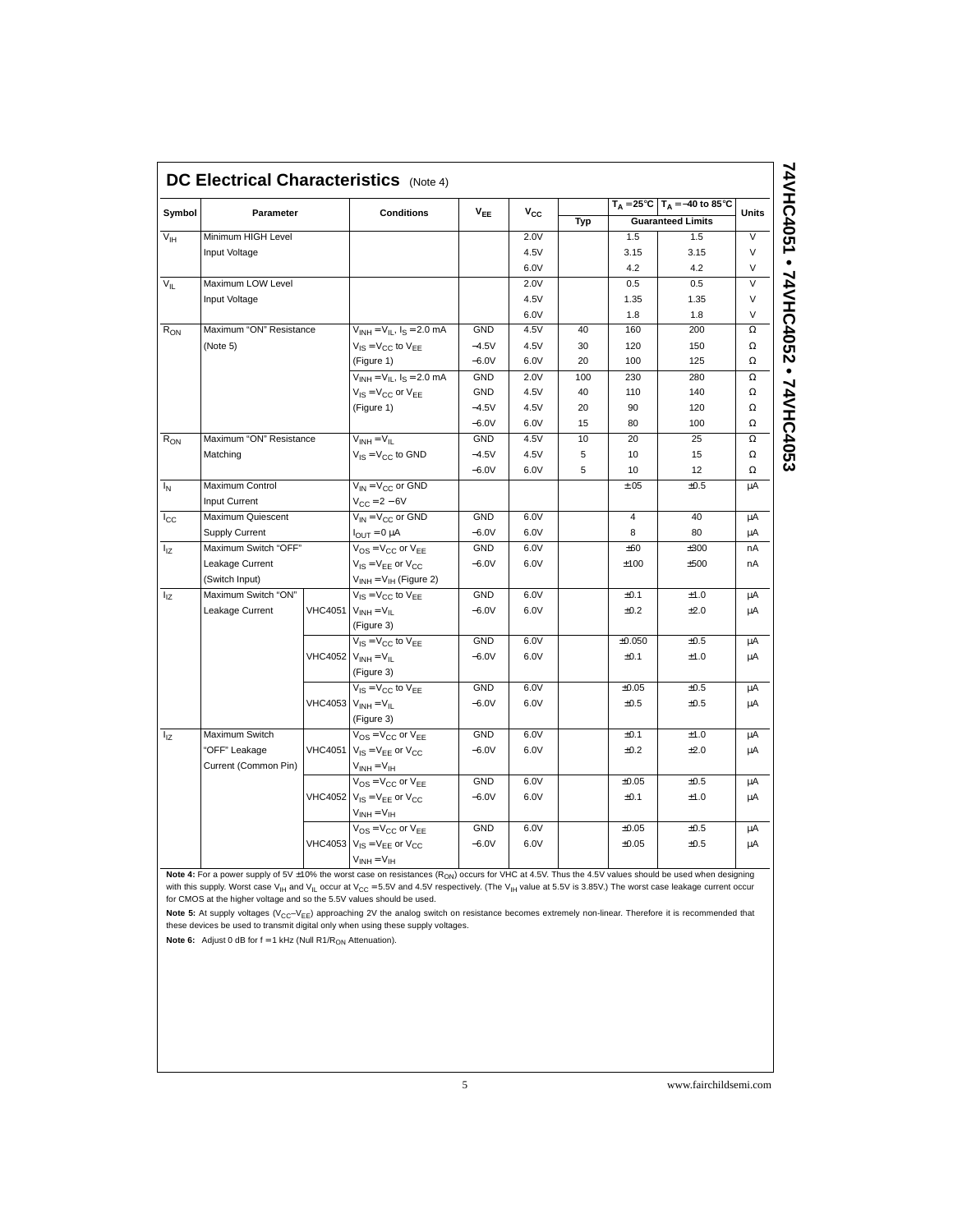| Symbol          | Parameter                           |  | <b>Conditions</b>                     | $V_{EE}$   | $v_{\rm cc}$ |     |                         | $T_A = 25^{\circ}C$ $T_A = -40$ to 85°C | <b>Units</b>                                                                                                                                    |  |
|-----------------|-------------------------------------|--|---------------------------------------|------------|--------------|-----|-------------------------|-----------------------------------------|-------------------------------------------------------------------------------------------------------------------------------------------------|--|
|                 |                                     |  |                                       |            |              | Typ |                         | <b>Guaranteed Limits</b>                |                                                                                                                                                 |  |
| V <sub>IH</sub> | Minimum HIGH Level                  |  |                                       |            | 2.0V         |     | 1.5                     | 1.5                                     | $\overline{\mathsf{v}}$                                                                                                                         |  |
|                 | Input Voltage                       |  |                                       |            | 4.5V         |     | 3.15                    | 3.15                                    | $\vee$                                                                                                                                          |  |
|                 |                                     |  |                                       |            | 6.0V         |     | 4.2                     | 4.2                                     | $\vee$                                                                                                                                          |  |
| $V_{\parallel}$ | Maximum LOW Level                   |  |                                       |            | 2.0V         |     | 0.5                     | 0.5                                     | $\overline{\mathsf{v}}$                                                                                                                         |  |
|                 | Input Voltage                       |  |                                       |            | 4.5V         |     | 1.35                    | 1.35                                    | $\vee$<br>$\vee$<br>$\Omega$<br>Ω<br>$\Omega$<br>Ω<br>$\Omega$<br>Ω<br>Ω<br>$\Omega$<br>Ω<br>$\Omega$<br>μA<br>μA<br>μA<br>nA<br>nA<br>μA<br>μA |  |
|                 |                                     |  |                                       |            | 6.0V         |     | 1.8                     | 1.8                                     |                                                                                                                                                 |  |
| $R_{ON}$        | Maximum "ON" Resistance<br>(Note 5) |  | $V_{INH} = V_{IL}$ , $I_S = 2.0$ mA   | <b>GND</b> | 4.5V         | 40  | 160                     | 200                                     |                                                                                                                                                 |  |
|                 |                                     |  | $V_{IS} = V_{CC}$ to $V_{FF}$         | $-4.5V$    | 4.5V         | 30  | 120                     | 150                                     |                                                                                                                                                 |  |
|                 |                                     |  | (Figure 1)                            | $-6.0V$    | 6.0V         | 20  | 100                     | 125                                     |                                                                                                                                                 |  |
|                 |                                     |  | $V_{INH} = V_{IL}$ , $I_S = 2.0$ mA   | <b>GND</b> | 2.0V         | 100 | 230                     | 280                                     |                                                                                                                                                 |  |
|                 |                                     |  | $V_{IS} = V_{CC}$ or $V_{EE}$         | GND        | 4.5V         | 40  | 110                     | 140                                     |                                                                                                                                                 |  |
|                 |                                     |  | (Figure 1)                            | $-4.5V$    | 4.5V         | 20  | 90                      | 120                                     |                                                                                                                                                 |  |
|                 |                                     |  |                                       | $-6.0V$    | 6.0V         | 15  | 80                      | 100                                     |                                                                                                                                                 |  |
| $R_{ON}$        | Maximum "ON" Resistance             |  | $V_{INH} = V_{IL}$                    | <b>GND</b> | 4.5V         | 10  | 20                      | 25                                      |                                                                                                                                                 |  |
|                 | Matching                            |  | $V_{IS} = V_{CC}$ to GND              | $-4.5V$    | 4.5V         | 5   | 10                      | 15                                      |                                                                                                                                                 |  |
|                 |                                     |  |                                       | $-6.0V$    | 6.0V         | 5   | 10                      | 12                                      |                                                                                                                                                 |  |
| $I_N$           | Maximum Control                     |  | $V_{IN} = V_{CC}$ or GND              |            |              |     | ±.05                    | ±0.5                                    |                                                                                                                                                 |  |
|                 | Input Current                       |  | $V_{CC} = 2 - 6V$                     |            |              |     |                         |                                         |                                                                                                                                                 |  |
| $I_{\rm CC}$    | Maximum Quiescent                   |  | $V_{IN} = V_{CC}$ or GND              | <b>GND</b> | 6.0V         |     | $\overline{\mathbf{4}}$ | 40                                      |                                                                                                                                                 |  |
|                 | <b>Supply Current</b>               |  | $I_{\text{OUT}} = 0 \mu A$            | $-6.0V$    | 6.0V         |     | 8                       | 80                                      |                                                                                                                                                 |  |
| $I_{17}$        | Maximum Switch "OFF"                |  | $V_{OS} = V_{CC}$ or $V_{FF}$         | <b>GND</b> | 6.0V         |     | ±60                     | ±300                                    |                                                                                                                                                 |  |
|                 | Leakage Current                     |  | $V_{IS} = V_{EF}$ or $V_{CC}$         | $-6.0V$    | 6.0V         |     | ±100                    | ±500                                    |                                                                                                                                                 |  |
|                 | (Switch Input)                      |  | $V_{INH} = V_{IH}$ (Figure 2)         |            |              |     |                         |                                         |                                                                                                                                                 |  |
| $I_{17}$        | Maximum Switch "ON"                 |  | $V_{IS} = V_{CC}$ to $V_{FF}$         | <b>GND</b> | 6.0V         |     | ±0.1                    | ±1.0                                    |                                                                                                                                                 |  |
|                 | Leakage Current                     |  | VHC4051 $V_{INH} = V_{IL}$            | $-6.0V$    | 6.0V         |     | ±0.2                    | ±2.0                                    |                                                                                                                                                 |  |
|                 |                                     |  | (Figure 3)                            |            |              |     |                         |                                         |                                                                                                                                                 |  |
|                 |                                     |  | $V_{IS} = V_{CC}$ to $V_{EE}$         | <b>GND</b> | 6.0V         |     | ±0.050                  | ±0.5                                    | μA                                                                                                                                              |  |
|                 |                                     |  | VHC4052 $V_{INH} = V_{IL}$            | $-6.0V$    | 6.0V         |     | ±0.1                    | ±1.0                                    | μA                                                                                                                                              |  |
|                 |                                     |  | (Figure 3)                            |            |              |     |                         |                                         |                                                                                                                                                 |  |
|                 |                                     |  | $V_{IS} = V_{CC}$ to $V_{FF}$         | <b>GND</b> | 6.0V         |     | ±0.05                   | ±0.5                                    | μA                                                                                                                                              |  |
|                 |                                     |  | VHC4053 $V_{INH} = V_{IL}$            | $-6.0V$    | 6.0V         |     | ±0.5                    | ±0.5                                    | μA                                                                                                                                              |  |
|                 |                                     |  | (Figure 3)                            |            |              |     |                         |                                         |                                                                                                                                                 |  |
| $I_{17}$        | Maximum Switch                      |  | $V_{OS} = V_{CC}$ or $V_{FF}$         | <b>GND</b> | 6.0V         |     | ±0.1                    | ±1.0                                    | μA                                                                                                                                              |  |
|                 | "OFF" Leakage                       |  | VHC4051 $V_{IS} = V_{EE}$ or $V_{CC}$ | $-6.0V$    | 6.0V         |     | ±0.2                    | ±2.0                                    | μA                                                                                                                                              |  |
|                 | Current (Common Pin)                |  | $V_{INH} = V_{IH}$                    |            |              |     |                         |                                         |                                                                                                                                                 |  |
|                 |                                     |  | $V_{OS} = V_{CC}$ or $V_{EE}$         | <b>GND</b> | 6.0V         |     | ±0.05                   | ±0.5                                    | μA                                                                                                                                              |  |
|                 |                                     |  | VHC4052 $V_{IS} = V_{EF}$ or $V_{CC}$ | $-6.0V$    | 6.0V         |     | ±0.1                    | ±1.0                                    | μA                                                                                                                                              |  |
|                 |                                     |  | $V_{INH} = V_{IH}$                    |            |              |     |                         |                                         |                                                                                                                                                 |  |
|                 |                                     |  | $V_{OS} = V_{CC}$ or $V_{EE}$         | <b>GND</b> | 6.0V         |     | ±0.05                   | ±0.5                                    | μA                                                                                                                                              |  |
|                 |                                     |  | VHC4053 $V_{IS} = V_{EE}$ or $V_{CC}$ | $-6.0V$    | 6.0V         |     | ±0.05                   | ±0.5                                    | μA                                                                                                                                              |  |
|                 |                                     |  | $V_{INH} = V_{IH}$                    |            |              |     |                         |                                         |                                                                                                                                                 |  |
|                 |                                     |  |                                       |            |              |     |                         |                                         |                                                                                                                                                 |  |

**Note 4:** For a power supply of 5V ±10% the worst case on resistances (R<sub>ON</sub>) occurs for VHC at 4.5V. Thus the 4.5V values should be used when designing with this supply. Worst case V<sub>IH</sub> and V<sub>IL</sub> occur at V<sub>CC</sub> = 5.5V and 4.5V respectively. (The V<sub>IH</sub> value at 5.5V is 3.85V.) The worst case leakage current occur<br>for CMOS at the higher voltage and so the 5.5V values shoul

**Note 5:** At supply voltages (V<sub>CC</sub>–V<sub>EE</sub>) approaching 2V the analog switch on resistance becomes extremely non-linear. Therefore it is recommended that<br>these devices be used to transmit digital only when using these suppl

**Note 6:** Adjust 0 dB for  $f = 1$  kHz (Null R1/R<sub>ON</sub> Attenuation).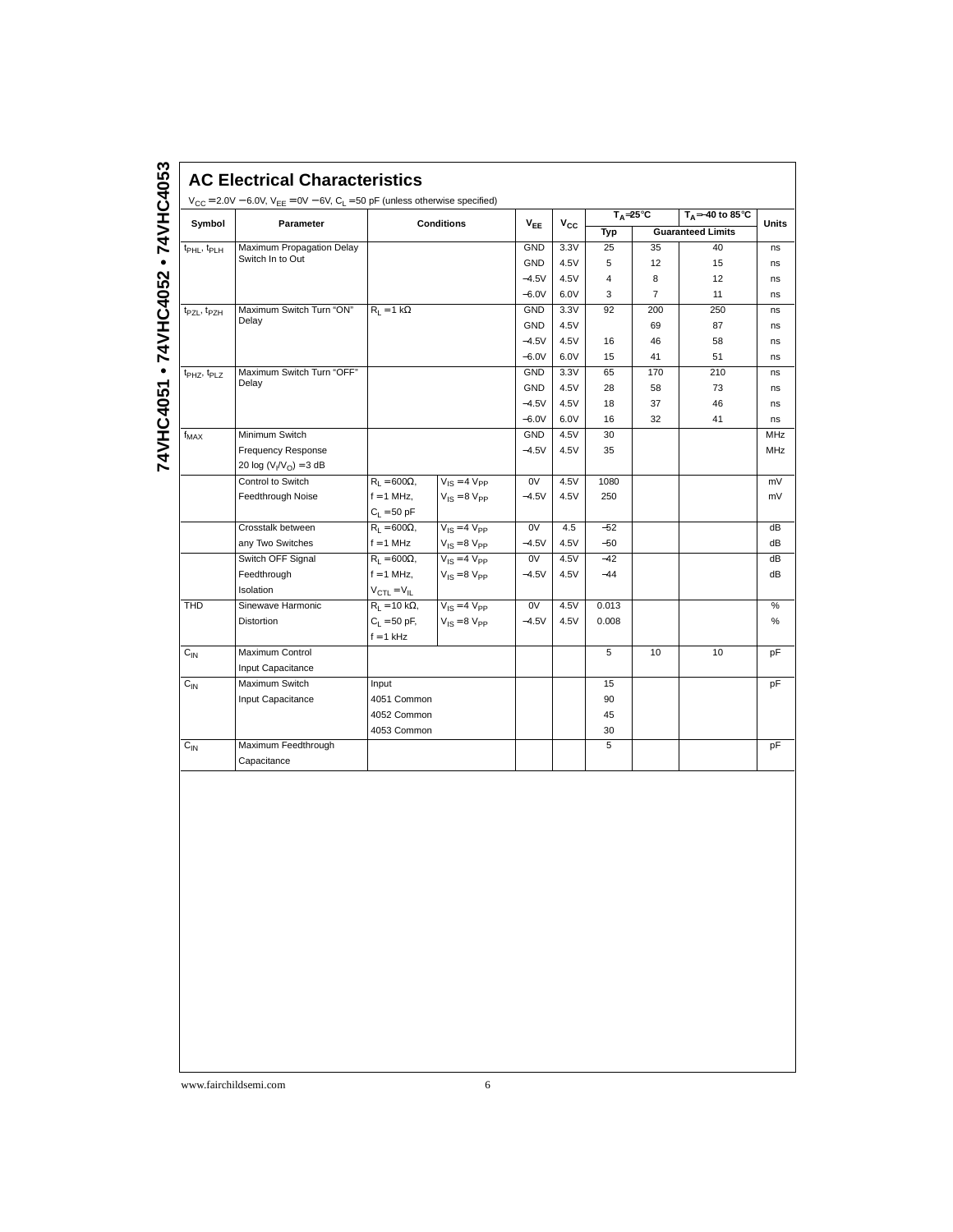| Symbol                              | Parameter                                     |                                  | $V_{CC} = 2.0V - 6.0V$ , $V_{EE} = 0V - 6V$ , $C_L = 50$ pF (unless otherwise specified)<br><b>Conditions</b> |            |              |       | $T_A = 25^\circ C$       | $T_A = -40$ to 85°C |       |
|-------------------------------------|-----------------------------------------------|----------------------------------|---------------------------------------------------------------------------------------------------------------|------------|--------------|-------|--------------------------|---------------------|-------|
|                                     |                                               |                                  |                                                                                                               | $V_{EE}$   | $v_{\rm cc}$ | Typ   | <b>Guaranteed Limits</b> |                     | Units |
| t <sub>PHL</sub> , t <sub>PLH</sub> | Maximum Propagation Delay                     |                                  |                                                                                                               | <b>GND</b> | 3.3V         | 25    | 35                       | 40                  | ns    |
|                                     | Switch In to Out                              |                                  |                                                                                                               | GND        | 4.5V         | 5     | 12                       | 15                  | ns    |
|                                     |                                               |                                  |                                                                                                               | $-4.5V$    | 4.5V         | 4     | 8                        | 12                  | ns    |
|                                     |                                               |                                  |                                                                                                               | $-6.0V$    | 6.0V         | 3     | $\overline{7}$           | 11                  | ns    |
| t <sub>PZL</sub> , t <sub>PZH</sub> | Maximum Switch Turn "ON"<br>$R_1 = 1 k\Omega$ |                                  |                                                                                                               |            | 3.3V         | 92    | 200                      | 250                 | ns    |
|                                     | Delay                                         |                                  |                                                                                                               | GND        | 4.5V         |       | 69                       | 87                  | ns    |
|                                     |                                               |                                  |                                                                                                               | $-4.5V$    | 4.5V         | 16    | 46                       | 58                  | ns    |
|                                     |                                               |                                  |                                                                                                               | $-6.0V$    | 6.0V         | 15    | 41                       | 51                  | ns    |
| t <sub>PHZ</sub> , t <sub>PLZ</sub> | Maximum Switch Turn "OFF"                     |                                  |                                                                                                               | GND        | 3.3V         | 65    | 170                      | 210                 | ns    |
|                                     | Delay                                         |                                  |                                                                                                               | GND        | 4.5V         | 28    | 58                       | 73                  | ns    |
|                                     |                                               |                                  |                                                                                                               | $-4.5V$    | 4.5V         | 18    | 37                       | 46                  | ns    |
|                                     |                                               |                                  |                                                                                                               | $-6.0V$    | 6.0V         | 16    | 32                       | 41                  | ns    |
| t <sub>MAX</sub>                    | Minimum Switch                                |                                  |                                                                                                               | GND        | 4.5V         | 30    |                          |                     | MHz   |
|                                     | <b>Frequency Response</b>                     |                                  |                                                                                                               | $-4.5V$    | 4.5V         | 35    |                          |                     | MHz   |
|                                     | 20 log $(V_1/V_0) = 3$ dB                     |                                  |                                                                                                               |            |              |       |                          |                     |       |
|                                     | Control to Switch                             | $R_L = 600\Omega,$               | $V_{IS} = 4 V_{PP}$                                                                                           | 0V         | 4.5V         | 1080  |                          |                     | mV    |
|                                     | Feedthrough Noise                             | $f = 1$ MHz,                     | $V_{IS} = 8 V_{PP}$                                                                                           | $-4.5V$    | 4.5V         | 250   |                          |                     | mV    |
|                                     |                                               | $C_L = 50$ pF                    |                                                                                                               |            |              |       |                          |                     |       |
|                                     | Crosstalk between                             | $R_L = 600\Omega,$               | $V_{IS} = 4 V_{PP}$                                                                                           | 0V         | 4.5          | $-52$ |                          |                     | dB    |
|                                     | any Two Switches                              | $f = 1$ MHz                      | $V_{IS} = 8 V_{PP}$<br>$V_{IS} = 4 V_{PP}$                                                                    | $-4.5V$    | 4.5V         | $-50$ |                          |                     | dB    |
|                                     | Switch OFF Signal                             | $R_L = 600\Omega,$               |                                                                                                               | 0V         | 4.5V         | $-42$ |                          |                     | dB    |
|                                     | Feedthrough                                   | $f = 1$ MHz,                     | $V_{IS} = 8 V_{PP}$                                                                                           | $-4.5V$    | 4.5V         | $-44$ |                          |                     | dB    |
|                                     | Isolation                                     | $V_{\text{CTL}} = V_{\text{IL}}$ |                                                                                                               |            |              |       |                          |                     |       |
| <b>THD</b>                          | Sinewave Harmonic                             | $R_L = 10 k\Omega$ ,             | $V_{IS} = 4 V_{PP}$                                                                                           | 0V         | 4.5V         | 0.013 |                          |                     | $\%$  |
|                                     | Distortion                                    | $C_{L} = 50$ pF,                 | $V_{IS} = 8 V_{PP}$                                                                                           | $-4.5V$    | 4.5V         | 0.008 |                          |                     | %     |
|                                     |                                               | $f = 1$ kHz                      |                                                                                                               |            |              |       |                          |                     |       |
| $C_{IN}$                            | Maximum Control                               |                                  |                                                                                                               |            |              | 5     | 10                       | 10                  | pF    |
|                                     | Input Capacitance                             |                                  |                                                                                                               |            |              |       |                          |                     |       |
| $C_{IN}$                            | Maximum Switch                                | Input                            |                                                                                                               |            |              | 15    |                          |                     | pF    |
|                                     | Input Capacitance                             | 4051 Common                      |                                                                                                               |            | 90           |       |                          |                     |       |
|                                     |                                               | 4052 Common                      |                                                                                                               |            | 45           |       |                          |                     |       |
|                                     |                                               | 4053 Common                      |                                                                                                               |            |              | 30    |                          |                     |       |
| $C_{IN}$                            | Maximum Feedthrough                           |                                  |                                                                                                               |            |              | 5     |                          |                     | pF    |
|                                     | Capacitance                                   |                                  |                                                                                                               |            |              |       |                          |                     |       |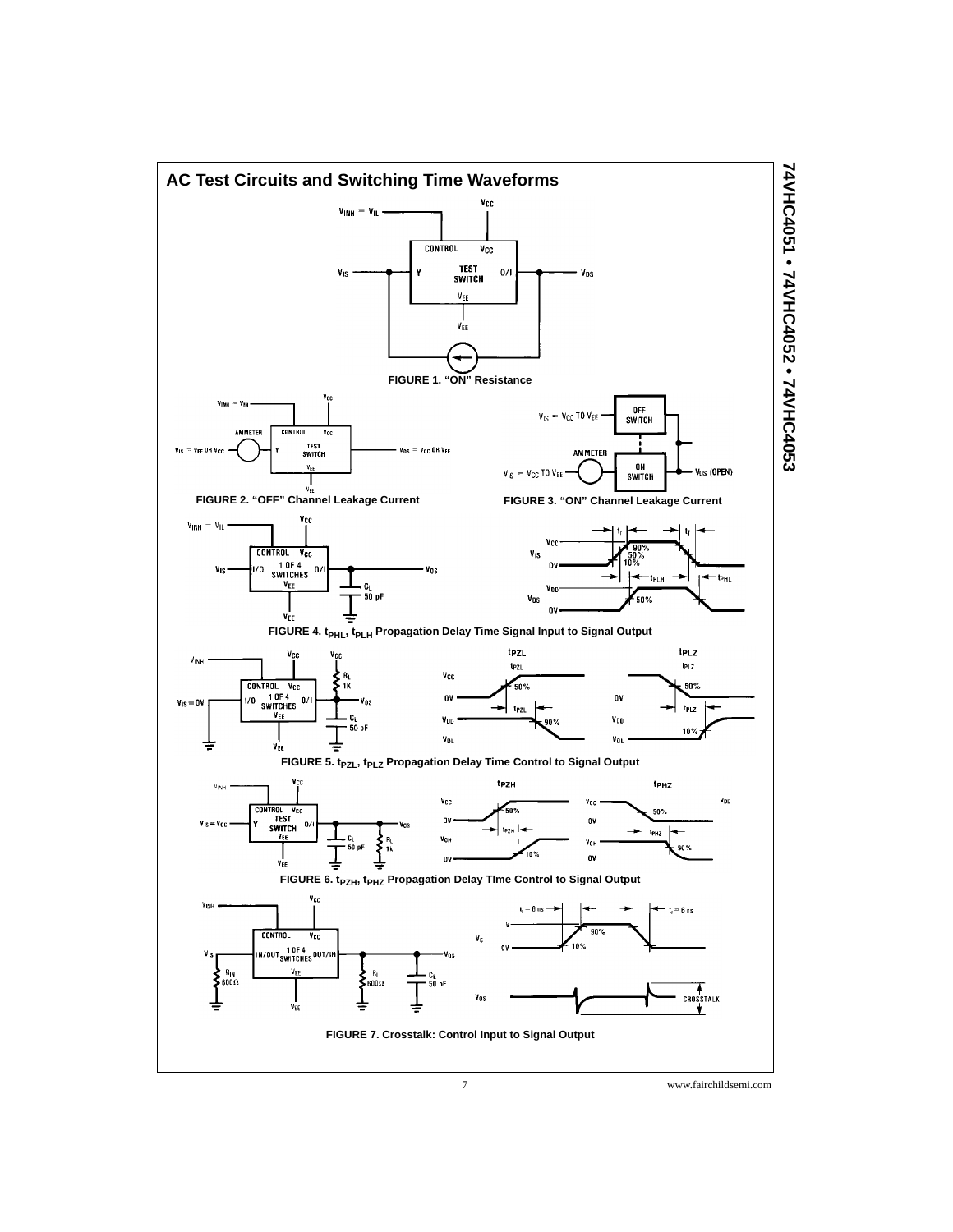

74VHC4051 • 74VHC4052 • 74VHC4053 **74VHC4051 • 74VHC4052 • 74VHC4053**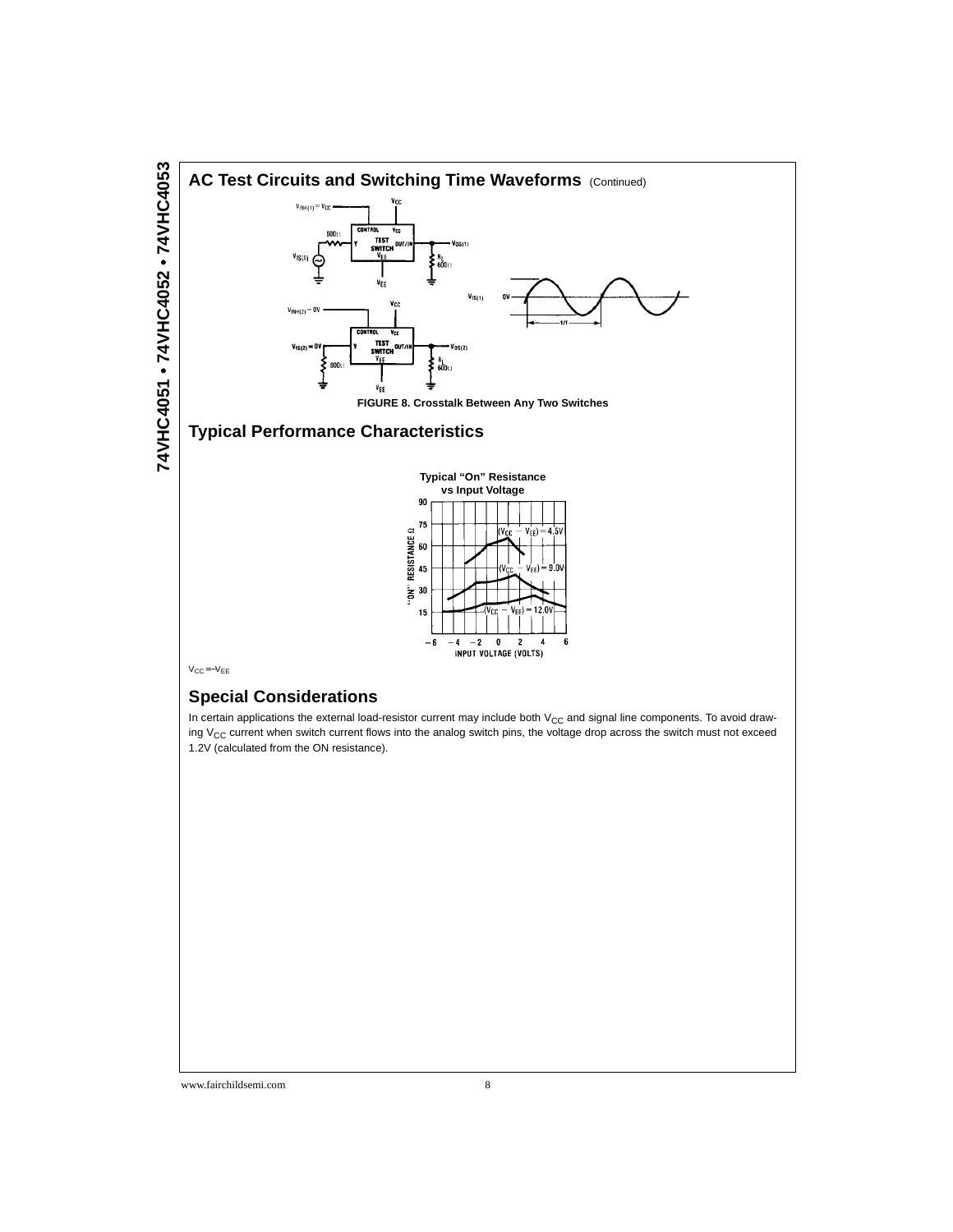

 $V_{CC}=-V_{EE}$ 

#### **Special Considerations**

In certain applications the external load-resistor current may include both  $V_{CC}$  and signal line components. To avoid drawing  $V_{CC}$  current when switch current flows into the analog switch pins, the voltage drop across the switch must not exceed 1.2V (calculated from the ON resistance).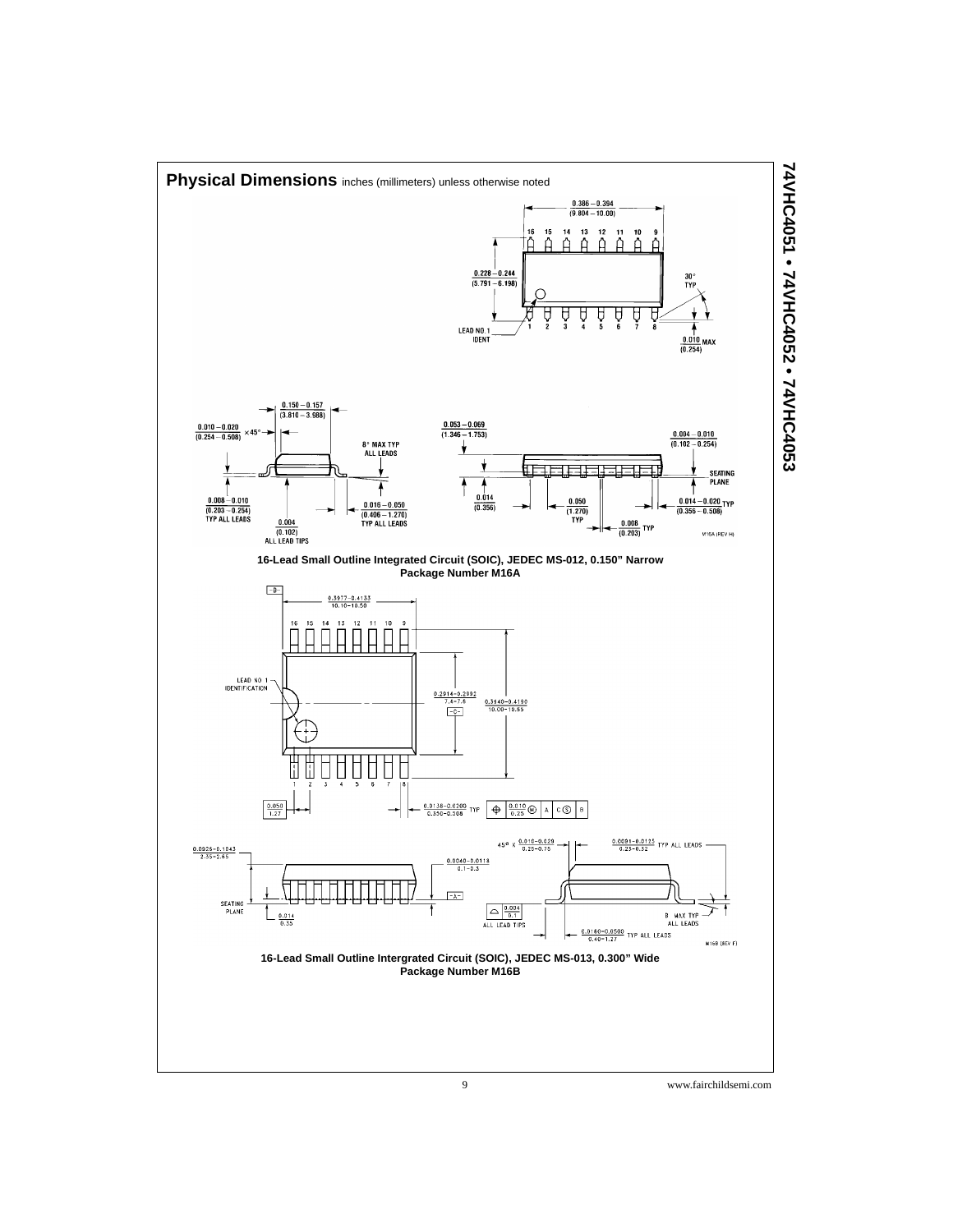

74VHC4051 • 74VHC4052 • 74VHC4053 **74VHC4051 • 74VHC4052 • 74VHC4053**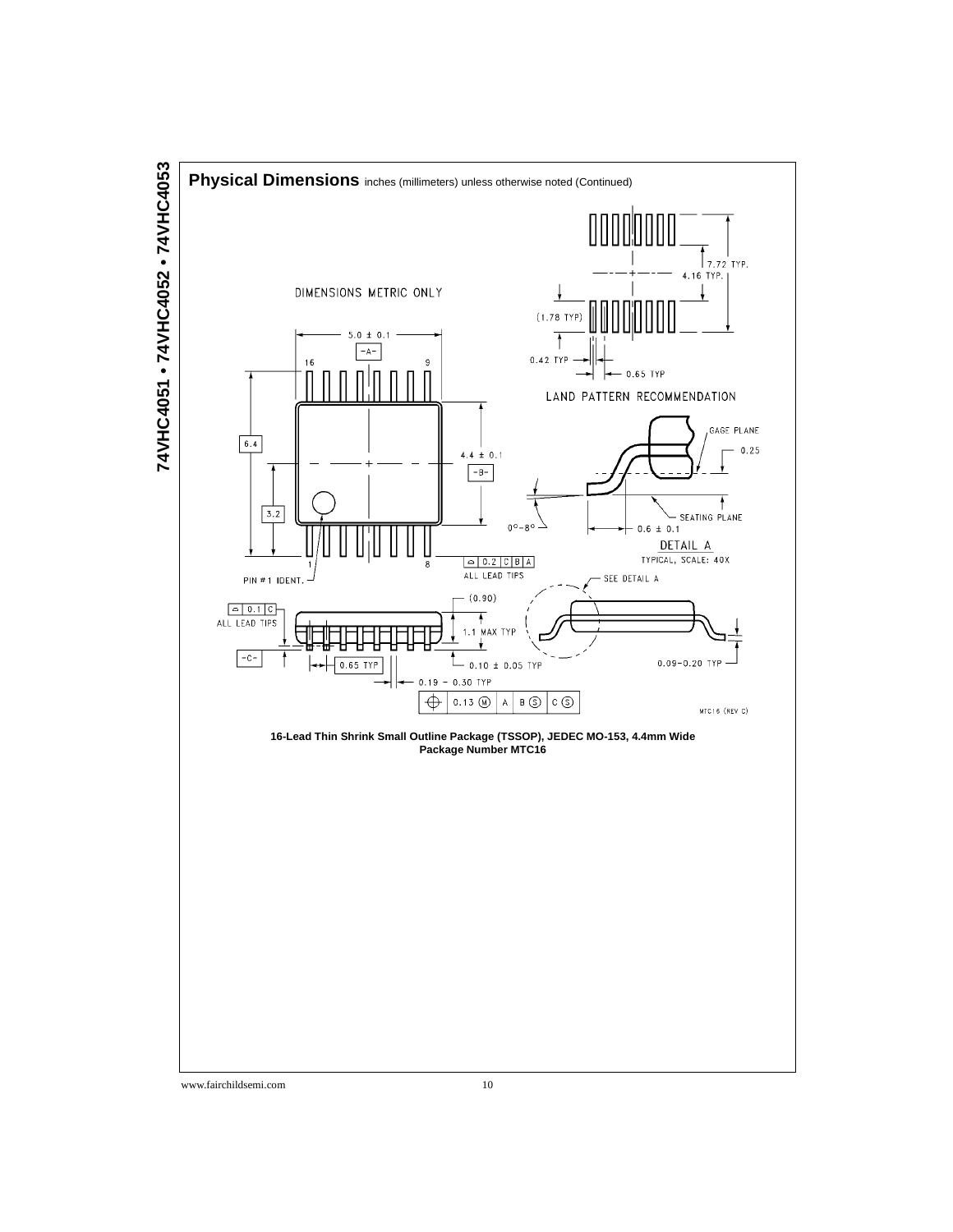

74VHC4051 • 74VHC4052 • 74VHC4053